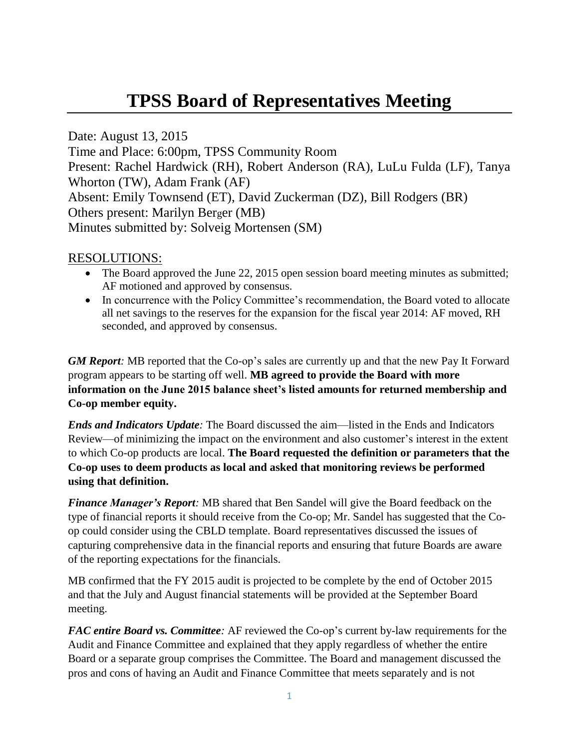## **TPSS Board of Representatives Meeting**

Date: August 13, 2015 Time and Place: 6:00pm, TPSS Community Room Present: Rachel Hardwick (RH), Robert Anderson (RA), LuLu Fulda (LF), Tanya Whorton (TW), Adam Frank (AF) Absent: Emily Townsend (ET), David Zuckerman (DZ), Bill Rodgers (BR) Others present: Marilyn Berger (MB) Minutes submitted by: Solveig Mortensen (SM)

## RESOLUTIONS:

- The Board approved the June 22, 2015 open session board meeting minutes as submitted; AF motioned and approved by consensus.
- In concurrence with the Policy Committee's recommendation, the Board voted to allocate all net savings to the reserves for the expansion for the fiscal year 2014: AF moved, RH seconded, and approved by consensus.

*GM Report*: MB reported that the Co-op's sales are currently up and that the new Pay It Forward program appears to be starting off well. **MB agreed to provide the Board with more information on the June 2015 balance sheet's listed amounts for returned membership and Co-op member equity.**

*Ends and Indicators Update:* The Board discussed the aim—listed in the Ends and Indicators Review—of minimizing the impact on the environment and also customer's interest in the extent to which Co-op products are local. **The Board requested the definition or parameters that the Co-op uses to deem products as local and asked that monitoring reviews be performed using that definition.** 

*Finance Manager's Report:* MB shared that Ben Sandel will give the Board feedback on the type of financial reports it should receive from the Co-op; Mr. Sandel has suggested that the Coop could consider using the CBLD template. Board representatives discussed the issues of capturing comprehensive data in the financial reports and ensuring that future Boards are aware of the reporting expectations for the financials.

MB confirmed that the FY 2015 audit is projected to be complete by the end of October 2015 and that the July and August financial statements will be provided at the September Board meeting.

*FAC entire Board vs. Committee:* AF reviewed the Co-op's current by-law requirements for the Audit and Finance Committee and explained that they apply regardless of whether the entire Board or a separate group comprises the Committee. The Board and management discussed the pros and cons of having an Audit and Finance Committee that meets separately and is not